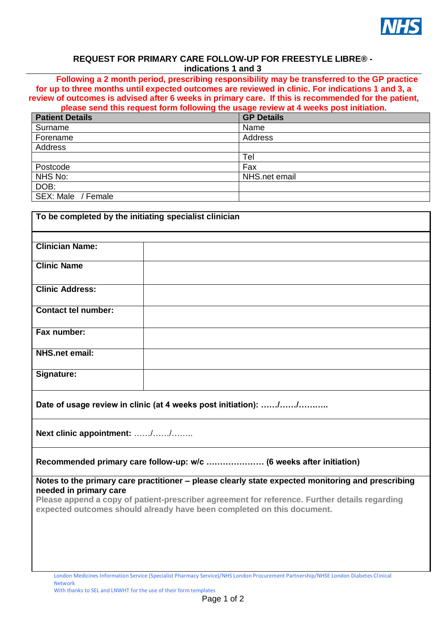

## **REQUEST FOR PRIMARY CARE FOLLOW-UP FOR FREESTYLE LIBRE® indications 1 and 3**

**Following a 2 month period, prescribing responsibility may be transferred to the GP practice for up to three months until expected outcomes are reviewed in clinic. For indications 1 and 3, a review of outcomes is advised after 6 weeks in primary care. If this is recommended for the patient,** 

**please send this request form following the usage review at 4 weeks post initiation.**

| <b>Patient Details</b> | <b>GP Details</b> |
|------------------------|-------------------|
| Surname                | Name              |
| Forename               | Address           |
| Address                |                   |
|                        | Tel               |
| Postcode               | Fax               |
| NHS No:                | NHS.net email     |
| DOB:                   |                   |
| SEX: Male / Female     |                   |

| To be completed by the initiating specialist clinician                                                                                                                  |                                                                                                                                     |  |  |
|-------------------------------------------------------------------------------------------------------------------------------------------------------------------------|-------------------------------------------------------------------------------------------------------------------------------------|--|--|
|                                                                                                                                                                         |                                                                                                                                     |  |  |
| <b>Clinician Name:</b>                                                                                                                                                  |                                                                                                                                     |  |  |
| <b>Clinic Name</b>                                                                                                                                                      |                                                                                                                                     |  |  |
| <b>Clinic Address:</b>                                                                                                                                                  |                                                                                                                                     |  |  |
| <b>Contact tel number:</b>                                                                                                                                              |                                                                                                                                     |  |  |
| Fax number:                                                                                                                                                             |                                                                                                                                     |  |  |
| <b>NHS.net email:</b>                                                                                                                                                   |                                                                                                                                     |  |  |
| Signature:                                                                                                                                                              |                                                                                                                                     |  |  |
| Date of usage review in clinic (at 4 weeks post initiation): //                                                                                                         |                                                                                                                                     |  |  |
| Next clinic appointment: //                                                                                                                                             |                                                                                                                                     |  |  |
|                                                                                                                                                                         | Recommended primary care follow-up: w/c  (6 weeks after initiation)                                                                 |  |  |
| Notes to the primary care practitioner - please clearly state expected monitoring and prescribing<br>needed in primary care                                             |                                                                                                                                     |  |  |
| Please append a copy of patient-prescriber agreement for reference. Further details regarding<br>expected outcomes should already have been completed on this document. |                                                                                                                                     |  |  |
|                                                                                                                                                                         |                                                                                                                                     |  |  |
|                                                                                                                                                                         |                                                                                                                                     |  |  |
|                                                                                                                                                                         | London Medicines Information Service (Specialist Pharmacy Service)/NHS London Procurement Partnership/NHSE London Diabetes Clinical |  |  |

Network With thanks to SEL and LNWHT for the use of their form templates